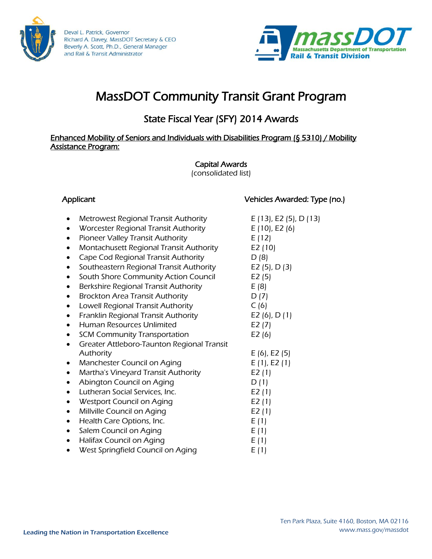

Deval L. Patrick, Governor Richard A. Davey, MassDOT Secretary & CEO Beverly A. Scott, Ph.D., General Manager and Rail & Transit Administrator



# MassDOT Community Transit Grant Program

## State Fiscal Year (SFY) 2014 Awards

#### Enhanced Mobility of Seniors and Individuals with Disabilities Program (§ 5310) / Mobility Assistance Program:

### Capital Awards

(consolidated list)

#### Applicant Vehicles Awarded: Type (no.)

- Metrowest Regional Transit Authority  $E(13)$ , E2 (5), D (13)
- Worcester Regional Transit Authority  $E(10)$ , E2 (6)
- Pioneer Valley Transit Authority E (12)
- Montachusett Regional Transit Authority E2 (10)
- Cape Cod Regional Transit Authority D (8)
- Southeastern Regional Transit Authority E2 (5), D (3)
- South Shore Community Action Council E2 (5)
- $\bullet$  Berkshire Regional Transit Authority E (8)
- Brockton Area Transit Authority D (7)
- Lowell Regional Transit Authority  $C(6)$
- Franklin Regional Transit Authority  $E2(6)$ , D (1)
- Human Resources Unlimited E2 (7)
- SCM Community Transportation E2 (6)
- Greater Attleboro-Taunton Regional Transit Authority **E** (6), **E2** (5)
- Manchester Council on Aging  $E(1)$ , E2 (1)
- Martha's Vineyard Transit Authority E2 (1)
- Abington Council on Aging  $D(1)$
- Lutheran Social Services, Inc. E2 (1)
- Westport Council on Aging  $E2(1)$
- Millville Council on Aging example and E2 (1)
- $\bullet$  Health Care Options, Inc.  $E(1)$
- Salem Council on Aging E (1)
- $\bullet$  Halifax Council on Aging  $E(1)$
- West Springfield Council on Aging  $E(1)$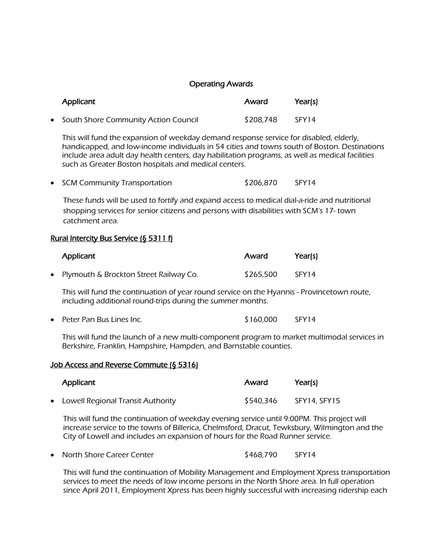#### Operating Awards

| Applicant                              | Award     | Year(s) |
|----------------------------------------|-----------|---------|
| • South Shore Community Action Council | \$208,748 | SFY14   |

This will fund the expansion of weekday demand response service for disabled, elderly, handicapped, and low-income individuals in 54 cities and towns south of Boston. Destinations include area adult day health centers, day habilitation programs, as well as medical facilities such as Greater Boston hospitals and medical centers.

|  |  | • SCM Community Transportation | \$206,870 | SFY14 |
|--|--|--------------------------------|-----------|-------|
|--|--|--------------------------------|-----------|-------|

These funds will be used to fortify and expand access to medical dial-a-ride and nutritional shopping services for senior citizens and persons with disabilities with SCM's 17- town catchment area.

#### Rural Intercity Bus Service (§ 5311 f)

| Applicant                                | Award     | Year(s) |
|------------------------------------------|-----------|---------|
| • Plymouth & Brockton Street Railway Co. | \$265,500 | SFY14   |

This will fund the continuation of year round service on the Hyannis - Provincetown route, including additional round-trips during the summer months.

| $\bullet$ Peter Pan Bus Lines Inc. | \$160,000 | SFY14 |
|------------------------------------|-----------|-------|
|------------------------------------|-----------|-------|

This will fund the launch of a new multi-component program to market multimodal services in Berkshire, Franklin, Hampshire, Hampden, and Barnstable counties.

#### Job Access and Reverse Commute (§ 5316)

| Applicant                           | Award     | Year(s)      |
|-------------------------------------|-----------|--------------|
| • Lowell Regional Transit Authority | \$540,346 | SFY14, SFY15 |

This will fund the continuation of weekday evening service until 9:00PM. This project will increase service to the towns of Billerica, Chelmsford, Dracut, Tewksbury, Wilmington and the City of Lowell and includes an expansion of hours for the Road Runner service.

|  | North Shore Career Center | \$468,790 | SFY14 |
|--|---------------------------|-----------|-------|
|--|---------------------------|-----------|-------|

This will fund the continuation of Mobility Management and Employment Xpress transportation services to meet the needs of low income persons in the North Shore area. In full operation since April 2011, Employment Xpress has been highly successful with increasing ridership each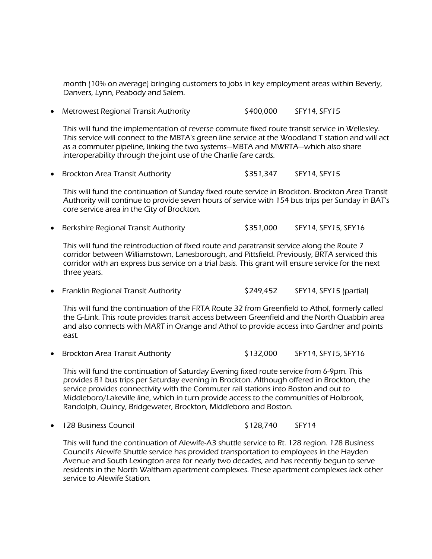month (10% on average) bringing customers to jobs in key employment areas within Beverly, Danvers, Lynn, Peabody and Salem.

• Metrowest Regional Transit Authority \$400,000 SFY14, SFY15

This will fund the implementation of reverse commute fixed route transit service in Wellesley. This service will connect to the MBTA's green line service at the Woodland T station and will act as a commuter pipeline, linking the two systems—MBTA and MWRTA—which also share interoperability through the joint use of the Charlie fare cards.

Brockton Area Transit Authority \$351,347 SFY14, SFY15

This will fund the continuation of Sunday fixed route service in Brockton. Brockton Area Transit Authority will continue to provide seven hours of service with 154 bus trips per Sunday in BAT's core service area in the City of Brockton.

• Berkshire Regional Transit Authority **\$351,000** SFY14, SFY15, SFY16

This will fund the reintroduction of fixed route and paratransit service along the Route 7 corridor between Williamstown, Lanesborough, and Pittsfield. Previously, BRTA serviced this corridor with an express bus service on a trial basis. This grant will ensure service for the next three years.

• Franklin Regional Transit Authority \$249,452 SFY14, SFY15 (partial)

This will fund the continuation of the FRTA Route 32 from Greenfield to Athol, formerly called the G-Link. This route provides transit access between Greenfield and the North Quabbin area and also connects with MART in Orange and Athol to provide access into Gardner and points east.

• Brockton Area Transit Authority \$132,000 SFY14, SFY15, SFY16

This will fund the continuation of Saturday Evening fixed route service from 6-9pm. This provides 81 bus trips per Saturday evening in Brockton. Although offered in Brockton, the service provides connectivity with the Commuter rail stations into Boston and out to Middleboro/Lakeville line, which in turn provide access to the communities of Holbrook, Randolph, Quincy, Bridgewater, Brockton, Middleboro and Boston.

128 Business Council \$128,740 SFY14

This will fund the continuation of Alewife-A3 shuttle service to Rt. 128 region. 128 Business Council's Alewife Shuttle service has provided transportation to employees in the Hayden Avenue and South Lexington area for nearly two decades, and has recently begun to serve residents in the North Waltham apartment complexes. These apartment complexes lack other service to Alewife Station.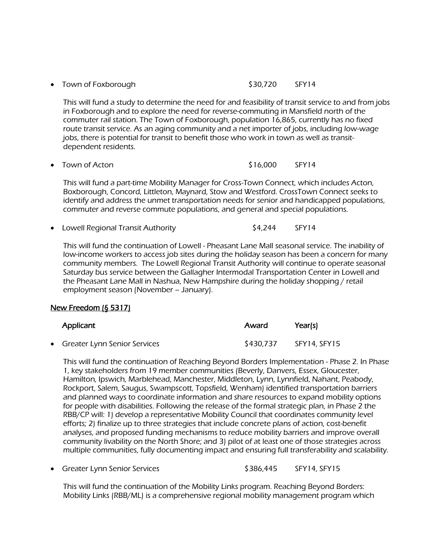• Town of Foxborough  $$30,720$  SFY14

This will fund a study to determine the need for and feasibility of transit service to and from jobs in Foxborough and to explore the need for reverse-commuting in Mansfield north of the commuter rail station. The Town of Foxborough, population 16,865, currently has no fixed route transit service. As an aging community and a net importer of jobs, including low-wage jobs, there is potential for transit to benefit those who work in town as well as transitdependent residents.

Town of Acton **1992 STS 2000** SEY14

This will fund a part-time Mobility Manager for Cross-Town Connect, which includes Acton, Boxborough, Concord, Littleton, Maynard, Stow and Westford. CrossTown Connect seeks to identify and address the unmet transportation needs for senior and handicapped populations, commuter and reverse commute populations, and general and special populations.

• Lowell Regional Transit Authority **1998** SA,244 SFY14

This will fund the continuation of Lowell - Pheasant Lane Mall seasonal service. The inability of low-income workers to access job sites during the holiday season has been a concern for many community members. The Lowell Regional Transit Authority will continue to operate seasonal Saturday bus service between the Gallagher Intermodal Transportation Center in Lowell and the Pheasant Lane Mall in Nashua, New Hampshire during the holiday shopping / retail employment season (November – January).

#### New Freedom (§ 5317)

| Applicant                      | Award     | Year(s)      |
|--------------------------------|-----------|--------------|
| • Greater Lynn Senior Services | \$430,737 | SFY14. SFY15 |

This will fund the continuation of Reaching Beyond Borders Implementation - Phase 2. In Phase 1, key stakeholders from 19 member communities (Beverly, Danvers, Essex, Gloucester, Hamilton, Ipswich, Marblehead, Manchester, Middleton, Lynn, Lynnfield, Nahant, Peabody, Rockport, Salem, Saugus, Swampscott, Topsfield, Wenham) identified transportation barriers and planned ways to coordinate information and share resources to expand mobility options for people with disabilities. Following the release of the formal strategic plan, in Phase 2 the RBB/CP will: 1) develop a representative Mobility Council that coordinates community level efforts; 2) finalize up to three strategies that include concrete plans of action, cost-benefit analyses, and proposed funding mechanisms to reduce mobility barriers and improve overall community livability on the North Shore; and 3) pilot of at least one of those strategies across multiple communities, fully documenting impact and ensuring full transferability and scalability.

• Greater Lynn Senior Services \* \* \* \$386,445 SFY14, SFY15

This will fund the continuation of the Mobility Links program. Reaching Beyond Borders: Mobility Links (RBB/ML) is a comprehensive regional mobility management program which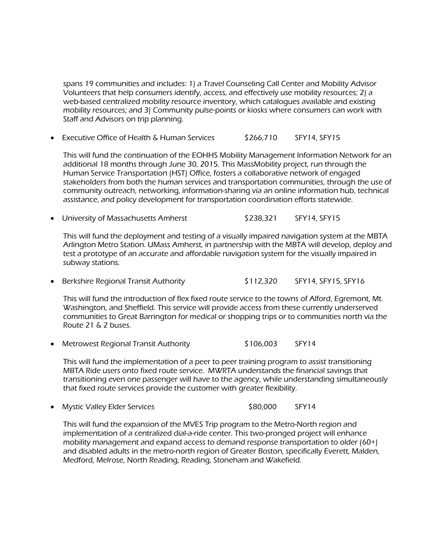spans 19 communities and includes: 1) a Travel Counseling Call Center and Mobility Advisor Volunteers that help consumers identify, access, and effectively use mobility resources; 2) a web-based centralized mobility resource inventory, which catalogues available and existing mobility resources; and 3) Community pulse-points or kiosks where consumers can work with Staff and Advisors on trip planning.

Executive Office of Health & Human Services  $\overline{\text{S266.710}}$  SFY14, SFY15

This will fund the continuation of the EOHHS Mobility Management Information Network for an additional 18 months through June 30, 2015. This MassMobility project, run through the Human Service Transportation (HST) Office, fosters a collaborative network of engaged stakeholders from both the human services and transportation communities, through the use of community outreach, networking, information-sharing via an online information hub, technical assistance, and policy development for transportation coordination efforts statewide.

• University of Massachusetts Amherst **\$238,321** SFY14, SFY15

This will fund the deployment and testing of a visually impaired navigation system at the MBTA Arlington Metro Station. UMass Amherst, in partnership with the MBTA will develop, deploy and test a prototype of an accurate and affordable navigation system for the visually impaired in subway stations.

• Berkshire Regional Transit Authority \$112,320 SFY14, SFY15, SFY16

This will fund the introduction of flex fixed route service to the towns of Alford, Egremont, Mt. Washington, and Sheffield. This service will provide access from these currently underserved communities to Great Barrington for medical or shopping trips or to communities north via the Route 21 & 2 buses.

• Metrowest Regional Transit Authority \$106,003 SFY14

This will fund the implementation of a peer to peer training program to assist transitioning MBTA Ride users onto fixed route service. MWRTA understands the financial savings that transitioning even one passenger will have to the agency, while understanding simultaneously that fixed route services provide the customer with greater flexibility.

• Mystic Valley Elder Services **\$80,000** SFY14

This will fund the expansion of the MVES Trip program to the Metro-North region and implementation of a centralized dial-a-ride center. This two-pronged project will enhance mobility management and expand access to demand response transportation to older (60+) and disabled adults in the metro-north region of Greater Boston, specifically Everett, Malden, Medford, Melrose, North Reading, Reading, Stoneham and Wakefield.